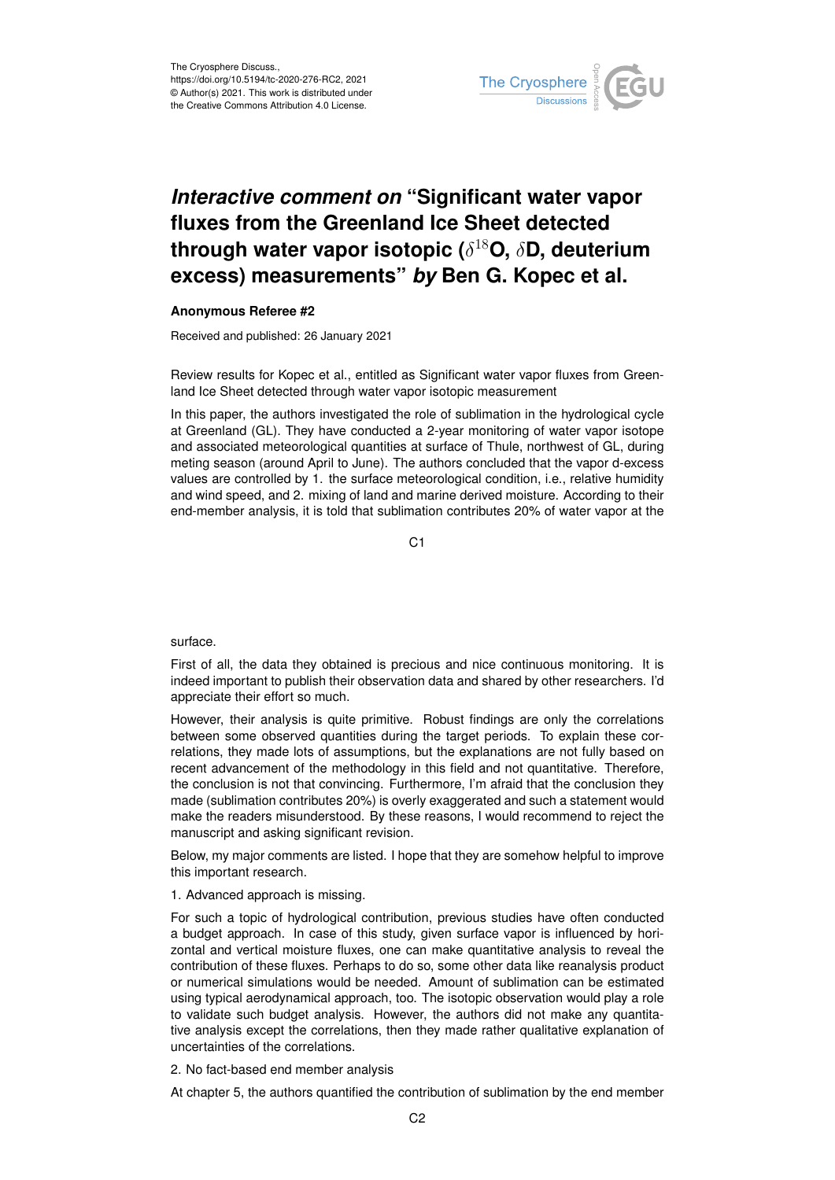

# *Interactive comment on* **"Significant water vapor fluxes from the Greenland Ice Sheet detected through water vapor isotopic (**δ <sup>18</sup>**O,** δ**D, deuterium excess) measurements"** *by* **Ben G. Kopec et al.**

### **Anonymous Referee #2**

Received and published: 26 January 2021

Review results for Kopec et al., entitled as Significant water vapor fluxes from Greenland Ice Sheet detected through water vapor isotopic measurement

In this paper, the authors investigated the role of sublimation in the hydrological cycle at Greenland (GL). They have conducted a 2-year monitoring of water vapor isotope and associated meteorological quantities at surface of Thule, northwest of GL, during meting season (around April to June). The authors concluded that the vapor d-excess values are controlled by 1. the surface meteorological condition, i.e., relative humidity and wind speed, and 2. mixing of land and marine derived moisture. According to their end-member analysis, it is told that sublimation contributes 20% of water vapor at the

 $C<sub>1</sub>$ 

surface.

First of all, the data they obtained is precious and nice continuous monitoring. It is indeed important to publish their observation data and shared by other researchers. I'd appreciate their effort so much.

However, their analysis is quite primitive. Robust findings are only the correlations between some observed quantities during the target periods. To explain these correlations, they made lots of assumptions, but the explanations are not fully based on recent advancement of the methodology in this field and not quantitative. Therefore, the conclusion is not that convincing. Furthermore, I'm afraid that the conclusion they made (sublimation contributes 20%) is overly exaggerated and such a statement would make the readers misunderstood. By these reasons, I would recommend to reject the manuscript and asking significant revision.

Below, my major comments are listed. I hope that they are somehow helpful to improve this important research.

### 1. Advanced approach is missing.

For such a topic of hydrological contribution, previous studies have often conducted a budget approach. In case of this study, given surface vapor is influenced by horizontal and vertical moisture fluxes, one can make quantitative analysis to reveal the contribution of these fluxes. Perhaps to do so, some other data like reanalysis product or numerical simulations would be needed. Amount of sublimation can be estimated using typical aerodynamical approach, too. The isotopic observation would play a role to validate such budget analysis. However, the authors did not make any quantitative analysis except the correlations, then they made rather qualitative explanation of uncertainties of the correlations.

2. No fact-based end member analysis

At chapter 5, the authors quantified the contribution of sublimation by the end member